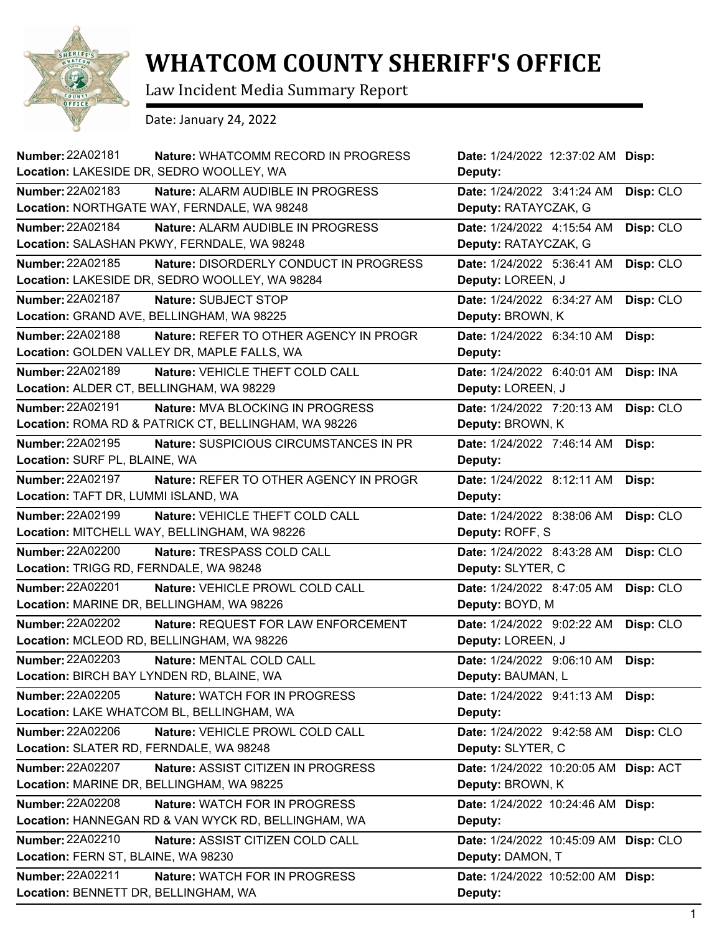

## **WHATCOM COUNTY SHERIFF'S OFFICE**

Law Incident Media Summary Report

Date: January 24, 2022

| <b>Number: 22A02181</b><br>Nature: WHATCOMM RECORD IN PROGRESS<br>Location: LAKESIDE DR, SEDRO WOOLLEY, WA | Date: 1/24/2022 12:37:02 AM Disp:<br>Deputy: |           |
|------------------------------------------------------------------------------------------------------------|----------------------------------------------|-----------|
| Number: 22A02183<br><b>Nature: ALARM AUDIBLE IN PROGRESS</b>                                               | Date: 1/24/2022 3:41:24 AM                   | Disp: CLO |
| Location: NORTHGATE WAY, FERNDALE, WA 98248                                                                | Deputy: RATAYCZAK, G                         |           |
| Number: 22A02184<br>Nature: ALARM AUDIBLE IN PROGRESS                                                      | Date: 1/24/2022 4:15:54 AM                   | Disp: CLO |
| Location: SALASHAN PKWY, FERNDALE, WA 98248                                                                | Deputy: RATAYCZAK, G                         |           |
| Number: 22A02185<br>Nature: DISORDERLY CONDUCT IN PROGRESS                                                 | Date: 1/24/2022 5:36:41 AM                   | Disp: CLO |
| Location: LAKESIDE DR, SEDRO WOOLLEY, WA 98284                                                             | Deputy: LOREEN, J                            |           |
| Number: 22A02187<br>Nature: SUBJECT STOP                                                                   | Date: 1/24/2022 6:34:27 AM                   | Disp: CLO |
| Location: GRAND AVE, BELLINGHAM, WA 98225                                                                  | Deputy: BROWN, K                             |           |
| Number: 22A02188<br>Nature: REFER TO OTHER AGENCY IN PROGR                                                 | Date: 1/24/2022 6:34:10 AM                   | Disp:     |
| Location: GOLDEN VALLEY DR, MAPLE FALLS, WA                                                                | Deputy:                                      |           |
| <b>Number: 22A02189</b><br>Nature: VEHICLE THEFT COLD CALL                                                 | Date: 1/24/2022 6:40:01 AM                   | Disp: INA |
| Location: ALDER CT, BELLINGHAM, WA 98229                                                                   | Deputy: LOREEN, J                            |           |
| Number: 22A02191<br>Nature: MVA BLOCKING IN PROGRESS                                                       | Date: 1/24/2022 7:20:13 AM                   | Disp: CLO |
| Location: ROMA RD & PATRICK CT, BELLINGHAM, WA 98226                                                       | Deputy: BROWN, K                             |           |
| <b>Number: 22A02195</b><br>Nature: SUSPICIOUS CIRCUMSTANCES IN PR                                          | Date: 1/24/2022 7:46:14 AM                   | Disp:     |
| Location: SURF PL, BLAINE, WA                                                                              | Deputy:                                      |           |
| <b>Number: 22A02197</b><br>Nature: REFER TO OTHER AGENCY IN PROGR                                          | Date: 1/24/2022 8:12:11 AM                   | Disp:     |
| Location: TAFT DR, LUMMI ISLAND, WA                                                                        | Deputy:                                      |           |
| <b>Number: 22A02199</b><br>Nature: VEHICLE THEFT COLD CALL                                                 | Date: 1/24/2022 8:38:06 AM                   | Disp: CLO |
| Location: MITCHELL WAY, BELLINGHAM, WA 98226                                                               | Deputy: ROFF, S                              |           |
| <b>Number: 22A02200</b><br>Nature: TRESPASS COLD CALL                                                      | Date: 1/24/2022 8:43:28 AM                   | Disp: CLO |
| Location: TRIGG RD, FERNDALE, WA 98248                                                                     | Deputy: SLYTER, C                            |           |
| <b>Number: 22A02201</b><br>Nature: VEHICLE PROWL COLD CALL                                                 | Date: 1/24/2022 8:47:05 AM                   | Disp: CLO |
| Location: MARINE DR, BELLINGHAM, WA 98226                                                                  | Deputy: BOYD, M                              |           |
| <b>Number: 22A02202</b><br>Nature: REQUEST FOR LAW ENFORCEMENT                                             | Date: 1/24/2022 9:02:22 AM                   | Disp: CLO |
| Location: MCLEOD RD, BELLINGHAM, WA 98226                                                                  | Deputy: LOREEN, J                            |           |
| Number: 22A02203<br>Nature: MENTAL COLD CALL                                                               | Date: 1/24/2022 9:06:10 AM                   | Disp:     |
| Location: BIRCH BAY LYNDEN RD, BLAINE, WA                                                                  | Deputy: BAUMAN, L                            |           |
| <b>Number: 22A02205</b><br>Nature: WATCH FOR IN PROGRESS                                                   | Date: 1/24/2022 9:41:13 AM                   | Disp:     |
| Location: LAKE WHATCOM BL, BELLINGHAM, WA                                                                  | Deputy:                                      |           |
| <b>Number: 22A02206</b><br>Nature: VEHICLE PROWL COLD CALL                                                 | Date: 1/24/2022 9:42:58 AM                   | Disp: CLO |
| Location: SLATER RD, FERNDALE, WA 98248                                                                    | Deputy: SLYTER, C                            |           |
| Number: 22A02207<br>Nature: ASSIST CITIZEN IN PROGRESS                                                     | Date: 1/24/2022 10:20:05 AM Disp: ACT        |           |
| Location: MARINE DR, BELLINGHAM, WA 98225                                                                  | Deputy: BROWN, K                             |           |
| <b>Number: 22A02208</b><br>Nature: WATCH FOR IN PROGRESS                                                   | Date: 1/24/2022 10:24:46 AM Disp:            |           |
| Location: HANNEGAN RD & VAN WYCK RD, BELLINGHAM, WA                                                        | Deputy:                                      |           |
| Number: 22A02210<br>Nature: ASSIST CITIZEN COLD CALL                                                       | Date: 1/24/2022 10:45:09 AM Disp: CLO        |           |
| Location: FERN ST, BLAINE, WA 98230                                                                        | Deputy: DAMON, T                             |           |
| Number: 22A02211<br><b>Nature: WATCH FOR IN PROGRESS</b>                                                   | Date: 1/24/2022 10:52:00 AM Disp:            |           |
| Location: BENNETT DR, BELLINGHAM, WA                                                                       | Deputy:                                      |           |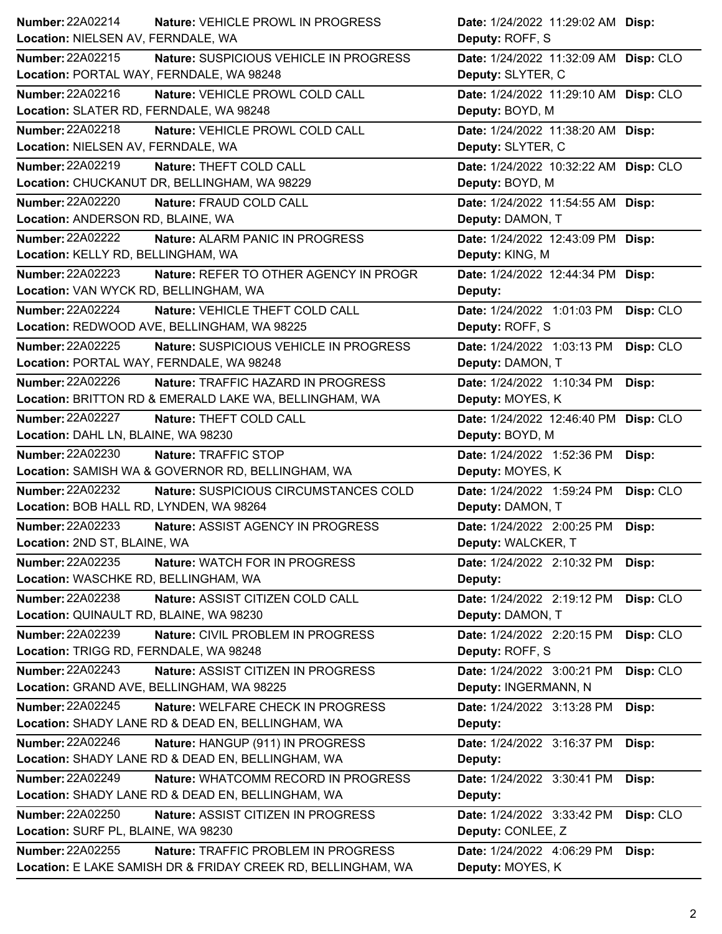| Number: 22A02214<br>Nature: VEHICLE PROWL IN PROGRESS                | Date: 1/24/2022 11:29:02 AM Disp:       |
|----------------------------------------------------------------------|-----------------------------------------|
| Location: NIELSEN AV, FERNDALE, WA                                   | Deputy: ROFF, S                         |
| Number: 22A02215<br>Nature: SUSPICIOUS VEHICLE IN PROGRESS           | Date: 1/24/2022 11:32:09 AM Disp: CLO   |
| Location: PORTAL WAY, FERNDALE, WA 98248                             | Deputy: SLYTER, C                       |
| Number: 22A02216<br>Nature: VEHICLE PROWL COLD CALL                  | Date: 1/24/2022 11:29:10 AM Disp: CLO   |
| Location: SLATER RD, FERNDALE, WA 98248                              | Deputy: BOYD, M                         |
| Number: 22A02218<br>Nature: VEHICLE PROWL COLD CALL                  | Date: 1/24/2022 11:38:20 AM Disp:       |
| Location: NIELSEN AV, FERNDALE, WA                                   | Deputy: SLYTER, C                       |
| Number: 22A02219<br>Nature: THEFT COLD CALL                          | Date: 1/24/2022 10:32:22 AM Disp: CLO   |
| Location: CHUCKANUT DR, BELLINGHAM, WA 98229                         | Deputy: BOYD, M                         |
| <b>Number: 22A02220</b><br>Nature: FRAUD COLD CALL                   | Date: 1/24/2022 11:54:55 AM Disp:       |
| Location: ANDERSON RD, BLAINE, WA                                    | Deputy: DAMON, T                        |
| <b>Number: 22A02222</b><br><b>Nature: ALARM PANIC IN PROGRESS</b>    | Date: 1/24/2022 12:43:09 PM Disp:       |
| Location: KELLY RD, BELLINGHAM, WA                                   | Deputy: KING, M                         |
| Number: 22A02223<br>Nature: REFER TO OTHER AGENCY IN PROGR           | Date: 1/24/2022 12:44:34 PM Disp:       |
| Location: VAN WYCK RD, BELLINGHAM, WA                                | Deputy:                                 |
| <b>Number: 22A02224</b><br>Nature: VEHICLE THEFT COLD CALL           | Date: 1/24/2022 1:01:03 PM<br>Disp: CLO |
| Location: REDWOOD AVE, BELLINGHAM, WA 98225                          | Deputy: ROFF, S                         |
| Number: 22A02225<br>Nature: SUSPICIOUS VEHICLE IN PROGRESS           | Disp: CLO<br>Date: 1/24/2022 1:03:13 PM |
| Location: PORTAL WAY, FERNDALE, WA 98248                             | Deputy: DAMON, T                        |
| <b>Number: 22A02226</b><br><b>Nature: TRAFFIC HAZARD IN PROGRESS</b> | Date: 1/24/2022 1:10:34 PM<br>Disp:     |
| Location: BRITTON RD & EMERALD LAKE WA, BELLINGHAM, WA               | Deputy: MOYES, K                        |
| Number: 22A02227<br>Nature: THEFT COLD CALL                          | Date: 1/24/2022 12:46:40 PM Disp: CLO   |
| Location: DAHL LN, BLAINE, WA 98230                                  | Deputy: BOYD, M                         |
| <b>Number: 22A02230</b><br>Nature: TRAFFIC STOP                      | Date: 1/24/2022 1:52:36 PM<br>Disp:     |
| Location: SAMISH WA & GOVERNOR RD, BELLINGHAM, WA                    | Deputy: MOYES, K                        |
| <b>Number: 22A02232</b><br>Nature: SUSPICIOUS CIRCUMSTANCES COLD     | Date: 1/24/2022 1:59:24 PM<br>Disp: CLO |
| Location: BOB HALL RD, LYNDEN, WA 98264                              | Deputy: DAMON, T                        |
| Number: 22A02233<br>Nature: ASSIST AGENCY IN PROGRESS                | Date: 1/24/2022 2:00:25 PM<br>Disp:     |
| Location: 2ND ST, BLAINE, WA                                         | Deputy: WALCKER, T                      |
| <b>Number: 22A02235</b><br>Nature: WATCH FOR IN PROGRESS             | Date: 1/24/2022 2:10:32 PM<br>Disp:     |
| Location: WASCHKE RD, BELLINGHAM, WA                                 | Deputy:                                 |
| <b>Number: 22A02238</b><br>Nature: ASSIST CITIZEN COLD CALL          | Disp: CLO<br>Date: 1/24/2022 2:19:12 PM |
| Location: QUINAULT RD, BLAINE, WA 98230                              | Deputy: DAMON, T                        |
| Number: 22A02239<br>Nature: CIVIL PROBLEM IN PROGRESS                | Date: 1/24/2022 2:20:15 PM<br>Disp: CLO |
| Location: TRIGG RD, FERNDALE, WA 98248                               | Deputy: ROFF, S                         |
| <b>Number: 22A02243</b><br>Nature: ASSIST CITIZEN IN PROGRESS        | Disp: CLO<br>Date: 1/24/2022 3:00:21 PM |
| Location: GRAND AVE, BELLINGHAM, WA 98225                            | Deputy: INGERMANN, N                    |
| Number: 22A02245<br>Nature: WELFARE CHECK IN PROGRESS                | Date: 1/24/2022 3:13:28 PM<br>Disp:     |
| Location: SHADY LANE RD & DEAD EN, BELLINGHAM, WA                    | Deputy:                                 |
| <b>Number: 22A02246</b><br>Nature: HANGUP (911) IN PROGRESS          | Date: 1/24/2022 3:16:37 PM<br>Disp:     |
| Location: SHADY LANE RD & DEAD EN, BELLINGHAM, WA                    | Deputy:                                 |
| <b>Number: 22A02249</b><br>Nature: WHATCOMM RECORD IN PROGRESS       | Date: 1/24/2022 3:30:41 PM<br>Disp:     |
| Location: SHADY LANE RD & DEAD EN, BELLINGHAM, WA                    | Deputy:                                 |
| <b>Number: 22A02250</b><br>Nature: ASSIST CITIZEN IN PROGRESS        | Disp: CLO<br>Date: 1/24/2022 3:33:42 PM |
| Location: SURF PL, BLAINE, WA 98230                                  | Deputy: CONLEE, Z                       |
| Number: 22A02255<br>Nature: TRAFFIC PROBLEM IN PROGRESS              | Date: 1/24/2022 4:06:29 PM<br>Disp:     |
| Location: E LAKE SAMISH DR & FRIDAY CREEK RD, BELLINGHAM, WA         | Deputy: MOYES, K                        |
|                                                                      |                                         |